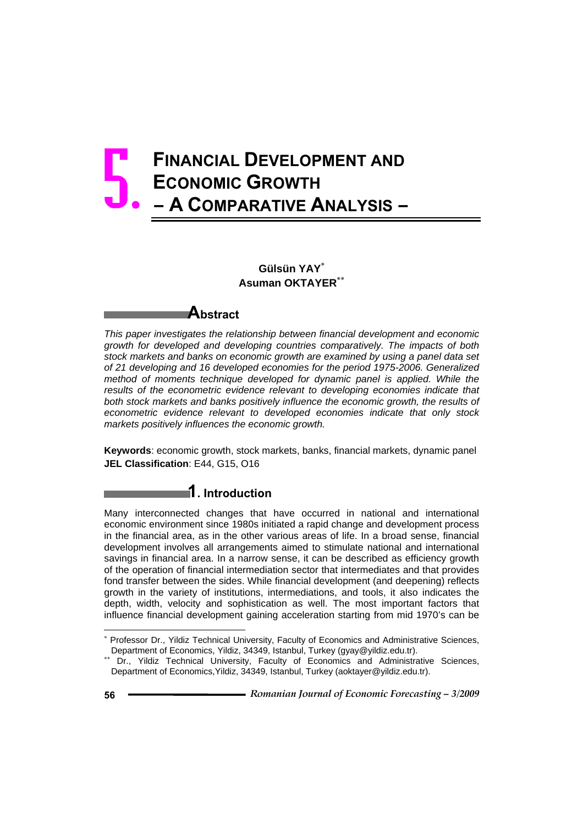# **FINANCIAL DEVELOPMENT AND ECONOMIC GROWTH – A COMPARATIVE ANALYSIS –**  5.

# **Gülsün YAY**<sup>∗</sup> **Asuman OKTAYER**∗∗

# **Abstract**

*This paper investigates the relationship between financial development and economic growth for developed and developing countries comparatively. The impacts of both stock markets and banks on economic growth are examined by using a panel data set of 21 developing and 16 developed economies for the period 1975-2006. Generalized method of moments technique developed for dynamic panel is applied. While the* results of the econometric evidence relevant to developing economies indicate that both stock markets and banks positively influence the economic growth, the results of *econometric evidence relevant to developed economies indicate that only stock markets positively influences the economic growth.* 

**Keywords**: economic growth, stock markets, banks, financial markets, dynamic panel **JEL Classification**: E44, G15, O16

# **1. Introduction**

Many interconnected changes that have occurred in national and international economic environment since 1980s initiated a rapid change and development process in the financial area, as in the other various areas of life. In a broad sense, financial development involves all arrangements aimed to stimulate national and international savings in financial area. In a narrow sense, it can be described as efficiency growth of the operation of financial intermediation sector that intermediates and that provides fond transfer between the sides. While financial development (and deepening) reflects growth in the variety of institutions, intermediations, and tools, it also indicates the depth, width, velocity and sophistication as well. The most important factors that influence financial development gaining acceleration starting from mid 1970's can be

l

<sup>∗</sup> Professor Dr., Yildiz Technical University, Faculty of Economics and Administrative Sciences, Department of Economics, Yildiz, 34349, Istanbul, Turkey (gyay@yildiz.edu.tr).

<sup>∗∗</sup> Dr., Yildiz Technical University, Faculty of Economics and Administrative Sciences, Department of Economics,Yildiz, 34349, Istanbul, Turkey (aoktayer@yildiz.edu.tr).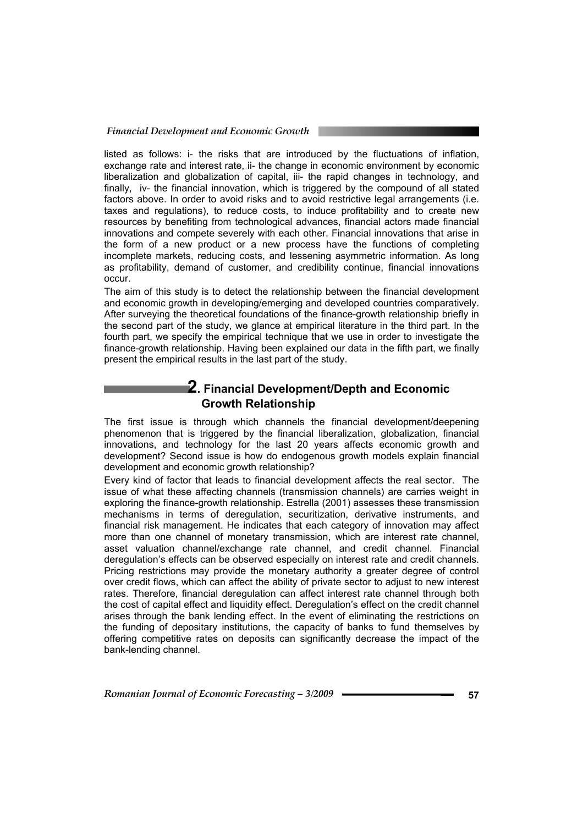listed as follows: i- the risks that are introduced by the fluctuations of inflation, exchange rate and interest rate, ii- the change in economic environment by economic liberalization and globalization of capital, iii- the rapid changes in technology, and finally, iv- the financial innovation, which is triggered by the compound of all stated factors above. In order to avoid risks and to avoid restrictive legal arrangements (i.e. taxes and regulations), to reduce costs, to induce profitability and to create new resources by benefiting from technological advances, financial actors made financial innovations and compete severely with each other. Financial innovations that arise in the form of a new product or a new process have the functions of completing incomplete markets, reducing costs, and lessening asymmetric information. As long as profitability, demand of customer, and credibility continue, financial innovations occur.

The aim of this study is to detect the relationship between the financial development and economic growth in developing/emerging and developed countries comparatively. After surveying the theoretical foundations of the finance-growth relationship briefly in the second part of the study, we glance at empirical literature in the third part. In the fourth part, we specify the empirical technique that we use in order to investigate the finance-growth relationship. Having been explained our data in the fifth part, we finally present the empirical results in the last part of the study.

# **2. Financial Development/Depth and Economic Growth Relationship**

The first issue is through which channels the financial development/deepening phenomenon that is triggered by the financial liberalization, globalization, financial innovations, and technology for the last 20 years affects economic growth and development? Second issue is how do endogenous growth models explain financial development and economic growth relationship?

Every kind of factor that leads to financial development affects the real sector. The issue of what these affecting channels (transmission channels) are carries weight in exploring the finance-growth relationship. Estrella (2001) assesses these transmission mechanisms in terms of deregulation, securitization, derivative instruments, and financial risk management. He indicates that each category of innovation may affect more than one channel of monetary transmission, which are interest rate channel, asset valuation channel/exchange rate channel, and credit channel. Financial deregulation's effects can be observed especially on interest rate and credit channels. Pricing restrictions may provide the monetary authority a greater degree of control over credit flows, which can affect the ability of private sector to adjust to new interest rates. Therefore, financial deregulation can affect interest rate channel through both the cost of capital effect and liquidity effect. Deregulation's effect on the credit channel arises through the bank lending effect. In the event of eliminating the restrictions on the funding of depositary institutions, the capacity of banks to fund themselves by offering competitive rates on deposits can significantly decrease the impact of the bank-lending channel.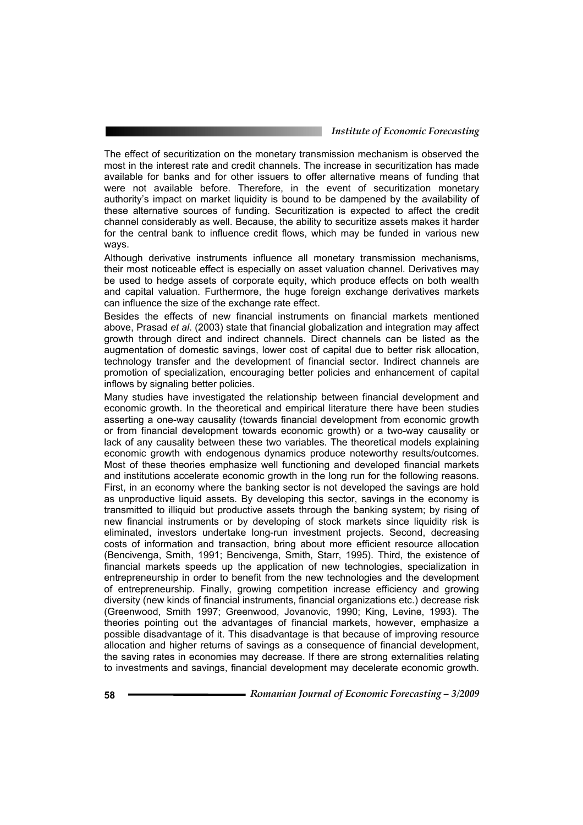The effect of securitization on the monetary transmission mechanism is observed the most in the interest rate and credit channels. The increase in securitization has made available for banks and for other issuers to offer alternative means of funding that were not available before. Therefore, in the event of securitization monetary authority's impact on market liquidity is bound to be dampened by the availability of these alternative sources of funding. Securitization is expected to affect the credit channel considerably as well. Because, the ability to securitize assets makes it harder for the central bank to influence credit flows, which may be funded in various new ways.

Although derivative instruments influence all monetary transmission mechanisms, their most noticeable effect is especially on asset valuation channel. Derivatives may be used to hedge assets of corporate equity, which produce effects on both wealth and capital valuation. Furthermore, the huge foreign exchange derivatives markets can influence the size of the exchange rate effect.

Besides the effects of new financial instruments on financial markets mentioned above, Prasad *et al*. (2003) state that financial globalization and integration may affect growth through direct and indirect channels. Direct channels can be listed as the augmentation of domestic savings, lower cost of capital due to better risk allocation, technology transfer and the development of financial sector. Indirect channels are promotion of specialization, encouraging better policies and enhancement of capital inflows by signaling better policies.

Many studies have investigated the relationship between financial development and economic growth. In the theoretical and empirical literature there have been studies asserting a one-way causality (towards financial development from economic growth or from financial development towards economic growth) or a two-way causality or lack of any causality between these two variables. The theoretical models explaining economic growth with endogenous dynamics produce noteworthy results/outcomes. Most of these theories emphasize well functioning and developed financial markets and institutions accelerate economic growth in the long run for the following reasons. First, in an economy where the banking sector is not developed the savings are hold as unproductive liquid assets. By developing this sector, savings in the economy is transmitted to illiquid but productive assets through the banking system; by rising of new financial instruments or by developing of stock markets since liquidity risk is eliminated, investors undertake long-run investment projects. Second, decreasing costs of information and transaction, bring about more efficient resource allocation (Bencivenga, Smith, 1991; Bencivenga, Smith, Starr, 1995). Third, the existence of financial markets speeds up the application of new technologies, specialization in entrepreneurship in order to benefit from the new technologies and the development of entrepreneurship. Finally, growing competition increase efficiency and growing diversity (new kinds of financial instruments, financial organizations etc.) decrease risk (Greenwood, Smith 1997; Greenwood, Jovanovic, 1990; King, Levine, 1993). The theories pointing out the advantages of financial markets, however, emphasize a possible disadvantage of it. This disadvantage is that because of improving resource allocation and higher returns of savings as a consequence of financial development, the saving rates in economies may decrease. If there are strong externalities relating to investments and savings, financial development may decelerate economic growth.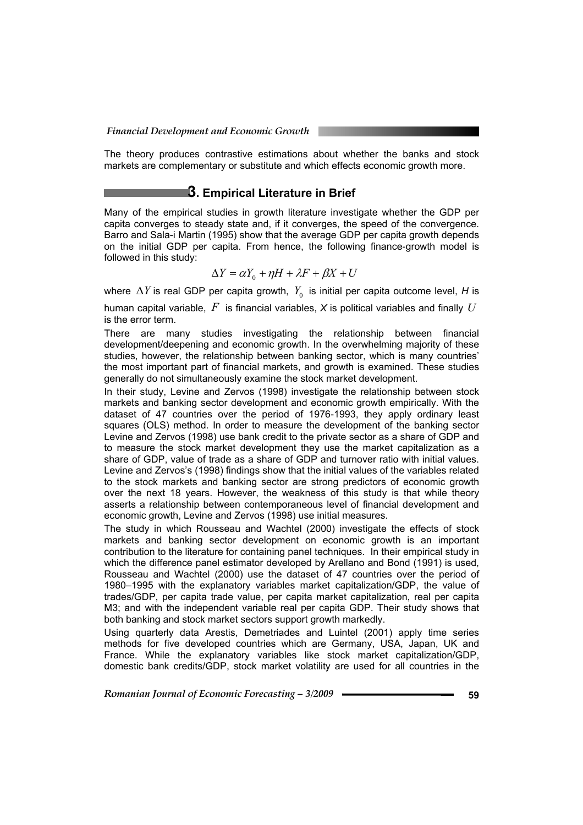The theory produces contrastive estimations about whether the banks and stock markets are complementary or substitute and which effects economic growth more.

### **3. Empirical Literature in Brief**

Many of the empirical studies in growth literature investigate whether the GDP per capita converges to steady state and, if it converges, the speed of the convergence. Barro and Sala-i Martin (1995) show that the average GDP per capita growth depends on the initial GDP per capita. From hence, the following finance-growth model is followed in this study:

$$
\Delta Y = \alpha Y_0 + \eta H + \lambda F + \beta X + U
$$

where  $\Delta Y$  is real GDP per capita growth,  $Y_0$  is initial per capita outcome level, *H* is

human capital variable, *F* is financial variables, *X* is political variables and finally *U* is the error term.

There are many studies investigating the relationship between financial development/deepening and economic growth. In the overwhelming majority of these studies, however, the relationship between banking sector, which is many countries' the most important part of financial markets, and growth is examined. These studies generally do not simultaneously examine the stock market development.

In their study, Levine and Zervos (1998) investigate the relationship between stock markets and banking sector development and economic growth empirically. With the dataset of 47 countries over the period of 1976-1993, they apply ordinary least squares (OLS) method. In order to measure the development of the banking sector Levine and Zervos (1998) use bank credit to the private sector as a share of GDP and to measure the stock market development they use the market capitalization as a share of GDP, value of trade as a share of GDP and turnover ratio with initial values. Levine and Zervos's (1998) findings show that the initial values of the variables related to the stock markets and banking sector are strong predictors of economic growth over the next 18 years. However, the weakness of this study is that while theory asserts a relationship between contemporaneous level of financial development and economic growth, Levine and Zervos (1998) use initial measures.

The study in which Rousseau and Wachtel (2000) investigate the effects of stock markets and banking sector development on economic growth is an important contribution to the literature for containing panel techniques. In their empirical study in which the difference panel estimator developed by Arellano and Bond (1991) is used, Rousseau and Wachtel (2000) use the dataset of 47 countries over the period of 1980–1995 with the explanatory variables market capitalization/GDP, the value of trades/GDP, per capita trade value, per capita market capitalization, real per capita M3; and with the independent variable real per capita GDP. Their study shows that both banking and stock market sectors support growth markedly.

Using quarterly data Arestis, Demetriades and Luintel (2001) apply time series methods for five developed countries which are Germany, USA, Japan, UK and France. While the explanatory variables like stock market capitalization/GDP, domestic bank credits/GDP, stock market volatility are used for all countries in the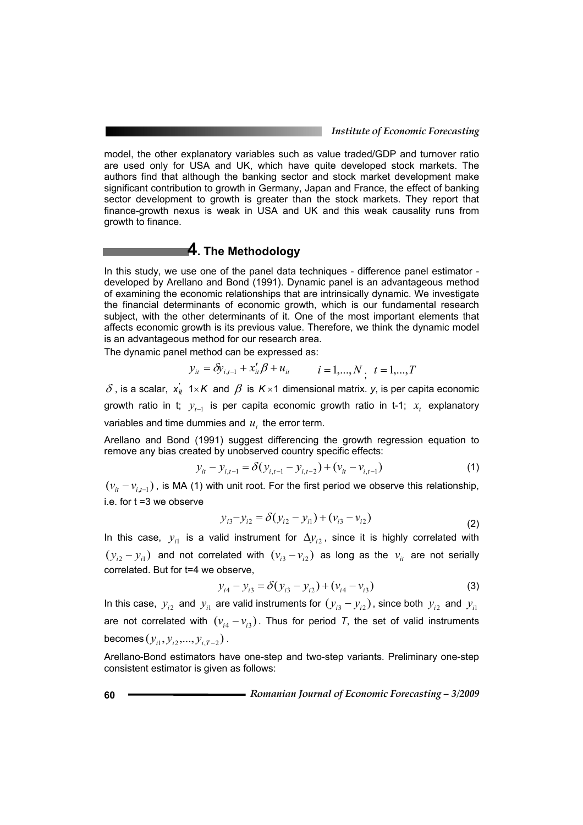model, the other explanatory variables such as value traded/GDP and turnover ratio are used only for USA and UK, which have quite developed stock markets. The authors find that although the banking sector and stock market development make significant contribution to growth in Germany, Japan and France, the effect of banking sector development to growth is greater than the stock markets. They report that finance-growth nexus is weak in USA and UK and this weak causality runs from growth to finance.

### **4. The Methodology**

In this study, we use one of the panel data techniques - difference panel estimator developed by Arellano and Bond (1991). Dynamic panel is an advantageous method of examining the economic relationships that are intrinsically dynamic. We investigate the financial determinants of economic growth, which is our fundamental research subject, with the other determinants of it. One of the most important elements that affects economic growth is its previous value. Therefore, we think the dynamic model is an advantageous method for our research area.

The dynamic panel method can be expressed as:

$$
y_{it} = \delta y_{i,t-1} + x_{it}' \beta + u_{it} \qquad i = 1,...,N, \ t = 1,...,T
$$

 $\delta$  , is a scalar,  $x'_{it}$  1×*K* and  $\beta$  is K×1 dimensional matrix. *y*, is per capita economic growth ratio in t;  $y_{t-1}$  is per capita economic growth ratio in t-1;  $x_t$  explanatory variables and time dummies and  $u_t$ , the error term.

Arellano and Bond (1991) suggest differencing the growth regression equation to remove any bias created by unobserved country specific effects:

$$
y_{it} - y_{i,t-1} = \delta(y_{i,t-1} - y_{i,t-2}) + (v_{it} - v_{i,t-1})
$$
\n(1)

 $(v_{it} - v_{it-1})$ , is MA (1) with unit root. For the first period we observe this relationship, i.e. for t =3 we observe

$$
y_{i3} - y_{i2} = \delta(y_{i2} - y_{i1}) + (v_{i3} - v_{i2})
$$
\n(2)

In this case,  $y_{i1}$  is a valid instrument for  $\Delta y_{i2}$ , since it is highly correlated with  $(y_{i2} - y_{i1})$  and not correlated with  $(v_{i3} - v_{i2})$  as long as the  $v_{i}$  are not serially correlated. But for t=4 we observe,

$$
y_{i4} - y_{i3} = \delta(y_{i3} - y_{i2}) + (v_{i4} - v_{i3})
$$
 (3)

In this case,  $y_{i2}$  and  $y_{i1}$  are valid instruments for  $(y_{i3} - y_{i2})$ , since both  $y_{i2}$  and  $y_{i1}$ are not correlated with  $(v_{i4} - v_{i3})$ . Thus for period *T*, the set of valid instruments  $b$ ecomes  $(y_{i_1}, y_{i_2},..., y_{i_T-2})$ .

Arellano-Bond estimators have one-step and two-step variants. Preliminary one-step consistent estimator is given as follows: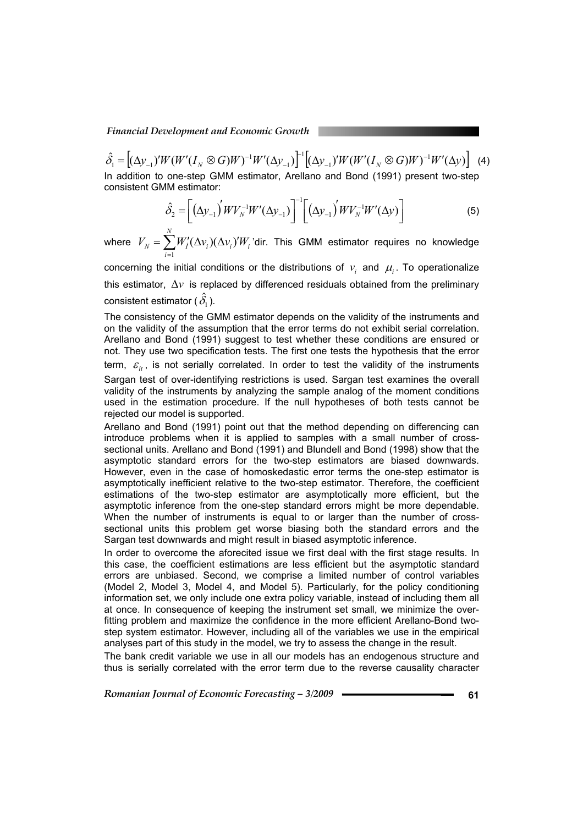$\hat{S}_1 = \left[ (\Delta y_{_{-1}})' W (W'(I_{_N} \otimes G) W)^{-1} W' (\Delta y_{_{-1}}) \right]^{-1} \left[ (\Delta y_{_{-1}})' W (W'(I_{_N} \otimes G) W)^{-1} W' (\Delta y) \right]$ 1 1  $\sum_{i=1}^{N} = [(\Delta y_{-1})' W (W'(I_{N} \otimes G)W)^{-1} W' (\Delta y_{-1})]^{-1} [(\Delta y_{-1})' W (W'(I_{N} \otimes G)W)^{-1} W' (\Delta y_{-1})]^{-1}]$ −  $\hat{\delta}_1 = [(\Delta y_{-1})' W (W'(I_N \otimes G)W)^{-1} W' (\Delta y_{-1})]^{-1} [(\Delta y_{-1})' W (W'(I_N \otimes G)W)^{-1} W' (\Delta y)]$  (4) In addition to one-step GMM estimator, Arellano and Bond (1991) present two-step consistent GMM estimator:

$$
\hat{\delta}_2 = \left[ \left( \Delta y_{-1} \right)' W V_N^{-1} W' (\Delta y_{-1}) \right]^{-1} \left[ \left( \Delta y_{-1} \right)' W V_N^{-1} W' (\Delta y) \right]
$$
\n(5)

where  $\; V_{_N} = \sum W'_I (\Delta v_{_i}) (\Delta v_{_i})' W_i$ *i*  $V_N = \sum W'_i(\Delta v_i)(\Delta v_i)'W$  $=\sum_{i=1} W'_I(\Delta v_i)(\Delta v_i)'$ 'dir. This GMM estimator requires no knowledge

concerning the initial conditions or the distributions of  $v_i$  and  $\mu_i$ . To operationalize this estimator, ∆*v* is replaced by differenced residuals obtained from the preliminary consistent estimator (  $\hat{\delta_{\textrm{l}}}$  ).

The consistency of the GMM estimator depends on the validity of the instruments and on the validity of the assumption that the error terms do not exhibit serial correlation. Arellano and Bond (1991) suggest to test whether these conditions are ensured or not. They use two specification tests. The first one tests the hypothesis that the error term,  $\varepsilon_{i}$ , is not serially correlated. In order to test the validity of the instruments

Sargan test of over-identifying restrictions is used. Sargan test examines the overall validity of the instruments by analyzing the sample analog of the moment conditions used in the estimation procedure. If the null hypotheses of both tests cannot be rejected our model is supported.

Arellano and Bond (1991) point out that the method depending on differencing can introduce problems when it is applied to samples with a small number of crosssectional units. Arellano and Bond (1991) and Blundell and Bond (1998) show that the asymptotic standard errors for the two-step estimators are biased downwards. However, even in the case of homoskedastic error terms the one-step estimator is asymptotically inefficient relative to the two-step estimator. Therefore, the coefficient estimations of the two-step estimator are asymptotically more efficient, but the asymptotic inference from the one-step standard errors might be more dependable. When the number of instruments is equal to or larger than the number of crosssectional units this problem get worse biasing both the standard errors and the Sargan test downwards and might result in biased asymptotic inference.

In order to overcome the aforecited issue we first deal with the first stage results. In this case, the coefficient estimations are less efficient but the asymptotic standard errors are unbiased. Second, we comprise a limited number of control variables (Model 2, Model 3, Model 4, and Model 5). Particularly, for the policy conditioning information set, we only include one extra policy variable, instead of including them all at once. In consequence of keeping the instrument set small, we minimize the overfitting problem and maximize the confidence in the more efficient Arellano-Bond twostep system estimator. However, including all of the variables we use in the empirical analyses part of this study in the model, we try to assess the change in the result.

The bank credit variable we use in all our models has an endogenous structure and thus is serially correlated with the error term due to the reverse causality character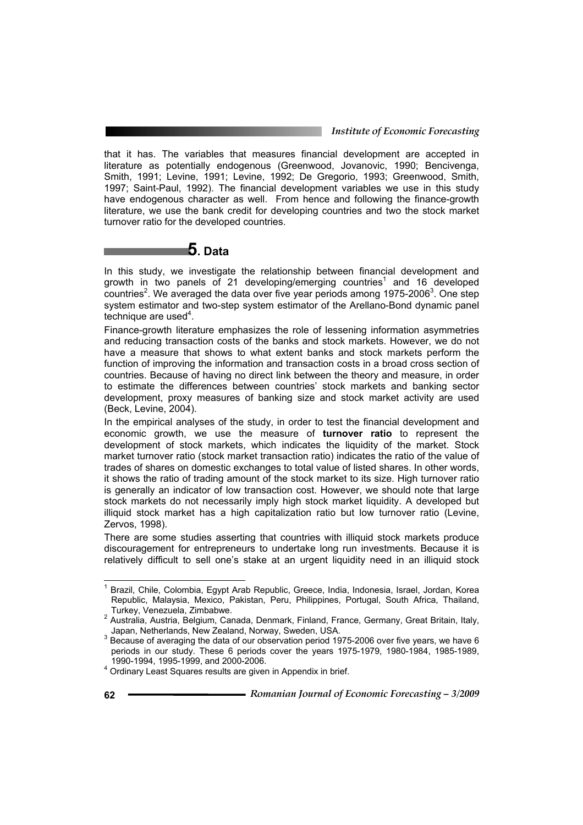that it has. The variables that measures financial development are accepted in literature as potentially endogenous (Greenwood, Jovanovic, 1990; Bencivenga, Smith, 1991; Levine, 1991; Levine, 1992; De Gregorio, 1993; Greenwood, Smith, 1997; Saint-Paul, 1992). The financial development variables we use in this study have endogenous character as well. From hence and following the finance-growth literature, we use the bank credit for developing countries and two the stock market turnover ratio for the developed countries.

# **5. Data**

In this study, we investigate the relationship between financial development and growth in two panels of 21 developing/emerging countries<sup>1</sup> and 16 developed  $countries<sup>2</sup>$ . We averaged the data over five year periods among 1975-2006<sup>3</sup>. One step system estimator and two-step system estimator of the Arellano-Bond dynamic panel  $t$ echnique are used<sup>4</sup>.

Finance-growth literature emphasizes the role of lessening information asymmetries and reducing transaction costs of the banks and stock markets. However, we do not have a measure that shows to what extent banks and stock markets perform the function of improving the information and transaction costs in a broad cross section of countries. Because of having no direct link between the theory and measure, in order to estimate the differences between countries' stock markets and banking sector development, proxy measures of banking size and stock market activity are used (Beck, Levine, 2004).

In the empirical analyses of the study, in order to test the financial development and economic growth, we use the measure of **turnover ratio** to represent the development of stock markets, which indicates the liquidity of the market. Stock market turnover ratio (stock market transaction ratio) indicates the ratio of the value of trades of shares on domestic exchanges to total value of listed shares. In other words, it shows the ratio of trading amount of the stock market to its size. High turnover ratio is generally an indicator of low transaction cost. However, we should note that large stock markets do not necessarily imply high stock market liquidity. A developed but illiquid stock market has a high capitalization ratio but low turnover ratio (Levine, Zervos, 1998).

There are some studies asserting that countries with illiquid stock markets produce discouragement for entrepreneurs to undertake long run investments. Because it is relatively difficult to sell one's stake at an urgent liquidity need in an illiquid stock

 1 Brazil, Chile, Colombia, Egypt Arab Republic, Greece, India, Indonesia, Israel, Jordan, Korea Republic, Malaysia, Mexico, Pakistan, Peru, Philippines, Portugal, South Africa, Thailand,

Turkey, Venezuela, Zimbabwe.<br><sup>2</sup> Australia, Austria, Belgium, Canada, Denmark, Finland, France, Germany, Great Britain, Italy,

Japan, Netherlands, New Zealand, Norway, Sweden, USA.<br><sup>3</sup> Because of averaging the data of our observation period 1975-2006 over five years, we have 6 periods in our study. These 6 periods cover the years 1975-1979, 1980-1984, 1985-1989,

<sup>1990-1994, 1995-1999,</sup> and 2000-2006. 4 Ordinary Least Squares results are given in Appendix in brief.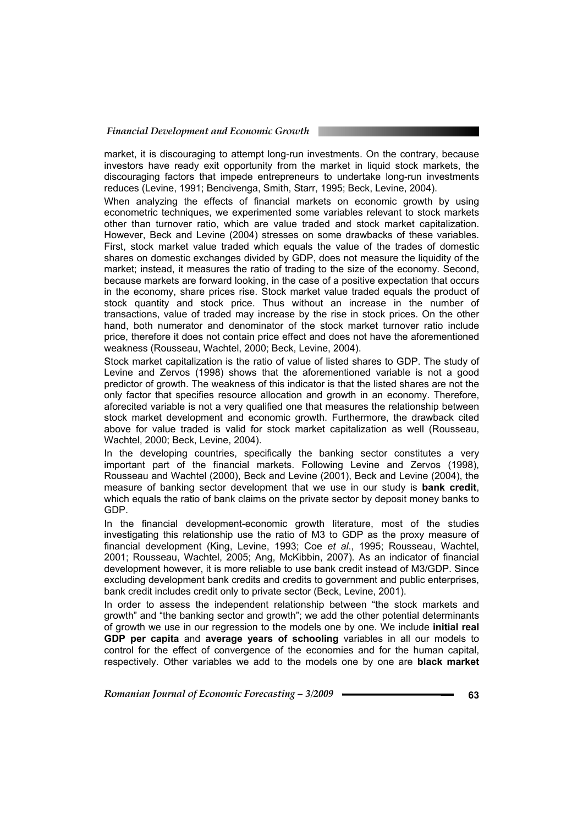market, it is discouraging to attempt long-run investments. On the contrary, because investors have ready exit opportunity from the market in liquid stock markets, the discouraging factors that impede entrepreneurs to undertake long-run investments reduces (Levine, 1991; Bencivenga, Smith, Starr, 1995; Beck, Levine, 2004).

When analyzing the effects of financial markets on economic growth by using econometric techniques, we experimented some variables relevant to stock markets other than turnover ratio, which are value traded and stock market capitalization. However, Beck and Levine (2004) stresses on some drawbacks of these variables. First, stock market value traded which equals the value of the trades of domestic shares on domestic exchanges divided by GDP, does not measure the liquidity of the market; instead, it measures the ratio of trading to the size of the economy. Second, because markets are forward looking, in the case of a positive expectation that occurs in the economy, share prices rise. Stock market value traded equals the product of stock quantity and stock price. Thus without an increase in the number of transactions, value of traded may increase by the rise in stock prices. On the other hand, both numerator and denominator of the stock market turnover ratio include price, therefore it does not contain price effect and does not have the aforementioned weakness (Rousseau, Wachtel, 2000; Beck, Levine, 2004).

Stock market capitalization is the ratio of value of listed shares to GDP. The study of Levine and Zervos (1998) shows that the aforementioned variable is not a good predictor of growth. The weakness of this indicator is that the listed shares are not the only factor that specifies resource allocation and growth in an economy. Therefore, aforecited variable is not a very qualified one that measures the relationship between stock market development and economic growth. Furthermore, the drawback cited above for value traded is valid for stock market capitalization as well (Rousseau, Wachtel, 2000; Beck, Levine, 2004).

In the developing countries, specifically the banking sector constitutes a very important part of the financial markets. Following Levine and Zervos (1998), Rousseau and Wachtel (2000), Beck and Levine (2001), Beck and Levine (2004), the measure of banking sector development that we use in our study is **bank credit**, which equals the ratio of bank claims on the private sector by deposit money banks to GDP.

In the financial development-economic growth literature, most of the studies investigating this relationship use the ratio of M3 to GDP as the proxy measure of financial development (King, Levine, 1993; Coe *et al*., 1995; Rousseau, Wachtel, 2001; Rousseau, Wachtel, 2005; Ang, McKibbin, 2007). As an indicator of financial development however, it is more reliable to use bank credit instead of M3/GDP. Since excluding development bank credits and credits to government and public enterprises, bank credit includes credit only to private sector (Beck, Levine, 2001).

In order to assess the independent relationship between "the stock markets and growth" and "the banking sector and growth"; we add the other potential determinants of growth we use in our regression to the models one by one. We include **initial real GDP per capita** and **average years of schooling** variables in all our models to control for the effect of convergence of the economies and for the human capital, respectively. Other variables we add to the models one by one are **black market**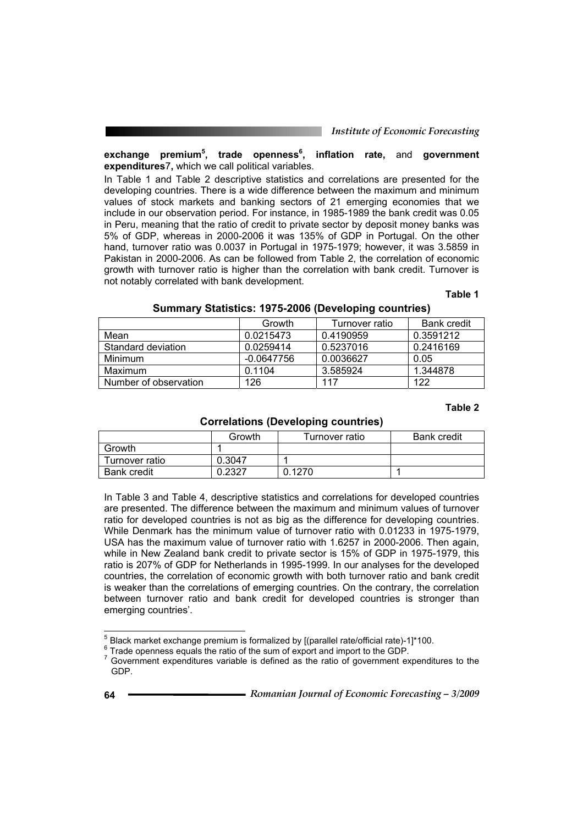#### **exchange premium<sup>5</sup> , trade openness<sup>6</sup> , inflation rate,** and **government expenditures**7**,** which we call political variables.

In Table 1 and Table 2 descriptive statistics and correlations are presented for the developing countries. There is a wide difference between the maximum and minimum values of stock markets and banking sectors of 21 emerging economies that we include in our observation period. For instance, in 1985-1989 the bank credit was 0.05 in Peru, meaning that the ratio of credit to private sector by deposit money banks was 5% of GDP, whereas in 2000-2006 it was 135% of GDP in Portugal. On the other hand, turnover ratio was 0.0037 in Portugal in 1975-1979; however, it was 3.5859 in Pakistan in 2000-2006. As can be followed from Table 2, the correlation of economic growth with turnover ratio is higher than the correlation with bank credit. Turnover is not notably correlated with bank development.

#### **Table 1**

|                       | Growth       | Turnover ratio | <b>Bank credit</b> |
|-----------------------|--------------|----------------|--------------------|
| Mean                  | 0.0215473    | 0.4190959      | 0.3591212          |
| Standard deviation    | 0.0259414    | 0.5237016      | 0.2416169          |
| Minimum               | $-0.0647756$ | 0.0036627      | 0.05               |
| Maximum               | 0.1104       | 3.585924       | 1.344878           |
| Number of observation | 126          | 117            | 122                |

#### **Summary Statistics: 1975-2006 (Developing countries)**

#### **Table 2**

#### **Correlations (Developing countries)**

|                    | Growth | Turnover ratio | <b>Bank credit</b> |
|--------------------|--------|----------------|--------------------|
| Growth             |        |                |                    |
| Turnover ratio     | 0.3047 |                |                    |
| <b>Bank credit</b> | 0.2327 | 0.1270         |                    |

In Table 3 and Table 4, descriptive statistics and correlations for developed countries are presented. The difference between the maximum and minimum values of turnover ratio for developed countries is not as big as the difference for developing countries. While Denmark has the minimum value of turnover ratio with 0.01233 in 1975-1979, USA has the maximum value of turnover ratio with 1.6257 in 2000-2006. Then again, while in New Zealand bank credit to private sector is 15% of GDP in 1975-1979, this ratio is 207% of GDP for Netherlands in 1995-1999. In our analyses for the developed countries, the correlation of economic growth with both turnover ratio and bank credit is weaker than the correlations of emerging countries. On the contrary, the correlation between turnover ratio and bank credit for developed countries is stronger than emerging countries'.

<sup>&</sup>lt;sup>5</sup><br><sup>5</sup> Black market exchange premium is formalized by [(parallel rate/official rate)-1]\*100.

<sup>&</sup>lt;sup>6</sup> Trade openness equals the ratio of the sum of export and import to the GDP.

Government expenditures variable is defined as the ratio of government expenditures to the GDP.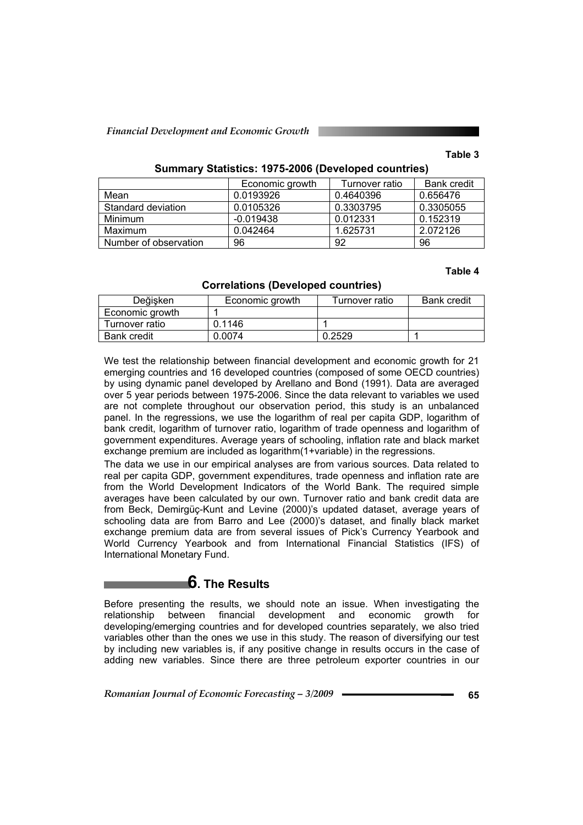#### **Table 3**

#### **Summary Statistics: 1975-2006 (Developed countries)**

|                       | Economic growth | Turnover ratio | <b>Bank credit</b> |
|-----------------------|-----------------|----------------|--------------------|
| Mean                  | 0.0193926       | 0.4640396      | 0.656476           |
| Standard deviation    | 0.0105326       | 0.3303795      | 0.3305055          |
| Minimum               | $-0.019438$     | 0.012331       | 0.152319           |
| Maximum               | 0.042464        | 1.625731       | 2.072126           |
| Number of observation | 96              | 92             | 96                 |

#### **Table 4**

| Değişken           | Economic growth | Turnover ratio | <b>Bank credit</b> |
|--------------------|-----------------|----------------|--------------------|
| Economic growth    |                 |                |                    |
| Turnover ratio     | 0.1146          |                |                    |
| <b>Bank credit</b> | 0.0074          | 0.2529         |                    |

We test the relationship between financial development and economic growth for 21 emerging countries and 16 developed countries (composed of some OECD countries) by using dynamic panel developed by Arellano and Bond (1991). Data are averaged over 5 year periods between 1975-2006. Since the data relevant to variables we used are not complete throughout our observation period, this study is an unbalanced panel. In the regressions, we use the logarithm of real per capita GDP, logarithm of bank credit, logarithm of turnover ratio, logarithm of trade openness and logarithm of government expenditures. Average years of schooling, inflation rate and black market exchange premium are included as logarithm(1+variable) in the regressions.

The data we use in our empirical analyses are from various sources. Data related to real per capita GDP, government expenditures, trade openness and inflation rate are from the World Development Indicators of the World Bank. The required simple averages have been calculated by our own. Turnover ratio and bank credit data are from Beck, Demirgüç-Kunt and Levine (2000)'s updated dataset, average years of schooling data are from Barro and Lee (2000)'s dataset, and finally black market exchange premium data are from several issues of Pick's Currency Yearbook and World Currency Yearbook and from International Financial Statistics (IFS) of International Monetary Fund.

# **6. The Results**

Before presenting the results, we should note an issue. When investigating the relationship between financial development and economic growth for developing/emerging countries and for developed countries separately, we also tried variables other than the ones we use in this study. The reason of diversifying our test by including new variables is, if any positive change in results occurs in the case of adding new variables. Since there are three petroleum exporter countries in our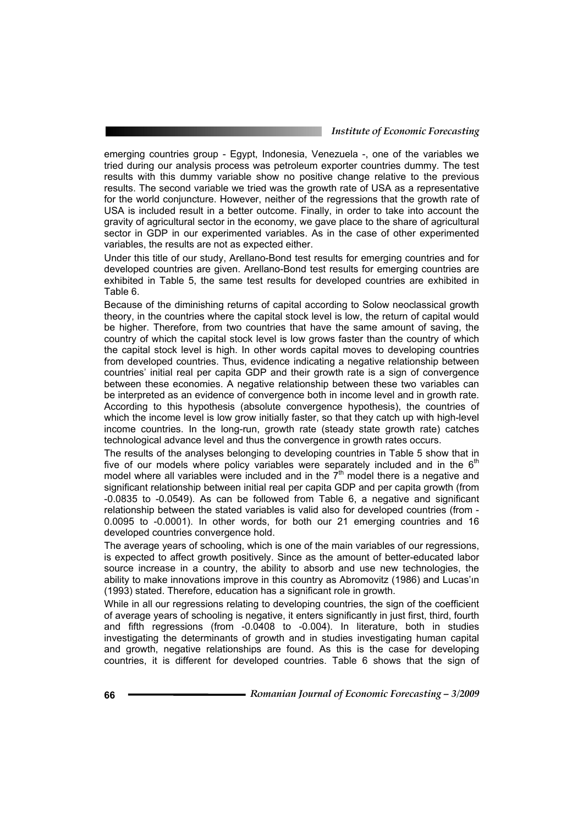emerging countries group - Egypt, Indonesia, Venezuela -, one of the variables we tried during our analysis process was petroleum exporter countries dummy. The test results with this dummy variable show no positive change relative to the previous results. The second variable we tried was the growth rate of USA as a representative for the world conjuncture. However, neither of the regressions that the growth rate of USA is included result in a better outcome. Finally, in order to take into account the gravity of agricultural sector in the economy, we gave place to the share of agricultural sector in GDP in our experimented variables. As in the case of other experimented variables, the results are not as expected either.

Under this title of our study, Arellano-Bond test results for emerging countries and for developed countries are given. Arellano-Bond test results for emerging countries are exhibited in Table 5, the same test results for developed countries are exhibited in Table 6.

Because of the diminishing returns of capital according to Solow neoclassical growth theory, in the countries where the capital stock level is low, the return of capital would be higher. Therefore, from two countries that have the same amount of saving, the country of which the capital stock level is low grows faster than the country of which the capital stock level is high. In other words capital moves to developing countries from developed countries. Thus, evidence indicating a negative relationship between countries' initial real per capita GDP and their growth rate is a sign of convergence between these economies. A negative relationship between these two variables can be interpreted as an evidence of convergence both in income level and in growth rate. According to this hypothesis (absolute convergence hypothesis), the countries of which the income level is low grow initially faster, so that they catch up with high-level income countries. In the long-run, growth rate (steady state growth rate) catches technological advance level and thus the convergence in growth rates occurs.

The results of the analyses belonging to developing countries in Table 5 show that in five of our models where policy variables were separately included and in the  $6<sup>th</sup>$ model where all variables were included and in the  $7<sup>th</sup>$  model there is a negative and significant relationship between initial real per capita GDP and per capita growth (from -0.0835 to -0.0549). As can be followed from Table 6, a negative and significant relationship between the stated variables is valid also for developed countries (from - 0.0095 to -0.0001). In other words, for both our 21 emerging countries and 16 developed countries convergence hold.

The average years of schooling, which is one of the main variables of our regressions, is expected to affect growth positively. Since as the amount of better-educated labor source increase in a country, the ability to absorb and use new technologies, the ability to make innovations improve in this country as Abromovitz (1986) and Lucas'ın (1993) stated. Therefore, education has a significant role in growth.

While in all our regressions relating to developing countries, the sign of the coefficient of average years of schooling is negative, it enters significantly in just first, third, fourth and fifth regressions (from -0.0408 to -0.004). In literature, both in studies investigating the determinants of growth and in studies investigating human capital and growth, negative relationships are found. As this is the case for developing countries, it is different for developed countries. Table 6 shows that the sign of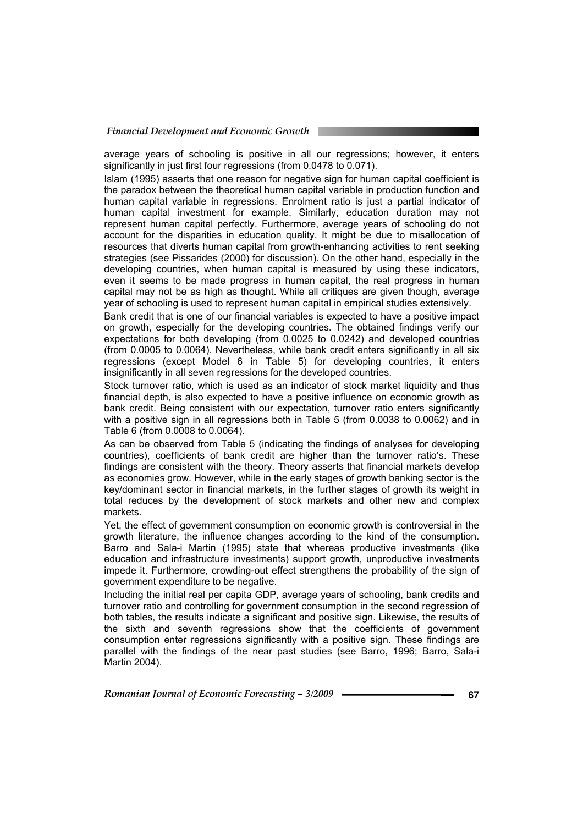average years of schooling is positive in all our regressions; however, it enters significantly in just first four regressions (from 0.0478 to 0.071).

Islam (1995) asserts that one reason for negative sign for human capital coefficient is the paradox between the theoretical human capital variable in production function and human capital variable in regressions. Enrolment ratio is just a partial indicator of human capital investment for example. Similarly, education duration may not represent human capital perfectly. Furthermore, average years of schooling do not account for the disparities in education quality. It might be due to misallocation of resources that diverts human capital from growth-enhancing activities to rent seeking strategies (see Pissarides (2000) for discussion). On the other hand, especially in the developing countries, when human capital is measured by using these indicators, even it seems to be made progress in human capital, the real progress in human capital may not be as high as thought. While all critiques are given though, average year of schooling is used to represent human capital in empirical studies extensively.

Bank credit that is one of our financial variables is expected to have a positive impact on growth, especially for the developing countries. The obtained findings verify our expectations for both developing (from 0.0025 to 0.0242) and developed countries (from 0.0005 to 0.0064). Nevertheless, while bank credit enters significantly in all six regressions (except Model 6 in Table 5) for developing countries, it enters insignificantly in all seven regressions for the developed countries.

Stock turnover ratio, which is used as an indicator of stock market liquidity and thus financial depth, is also expected to have a positive influence on economic growth as bank credit. Being consistent with our expectation, turnover ratio enters significantly with a positive sign in all regressions both in Table 5 (from 0.0038 to 0.0062) and in Table 6 (from 0.0008 to 0.0064).

As can be observed from Table 5 (indicating the findings of analyses for developing countries), coefficients of bank credit are higher than the turnover ratio's. These findings are consistent with the theory. Theory asserts that financial markets develop as economies grow. However, while in the early stages of growth banking sector is the key/dominant sector in financial markets, in the further stages of growth its weight in total reduces by the development of stock markets and other new and complex markets.

Yet, the effect of government consumption on economic growth is controversial in the growth literature, the influence changes according to the kind of the consumption. Barro and Sala-i Martin (1995) state that whereas productive investments (like education and infrastructure investments) support growth, unproductive investments impede it. Furthermore, crowding-out effect strengthens the probability of the sign of government expenditure to be negative.

Including the initial real per capita GDP, average years of schooling, bank credits and turnover ratio and controlling for government consumption in the second regression of both tables, the results indicate a significant and positive sign. Likewise, the results of the sixth and seventh regressions show that the coefficients of government consumption enter regressions significantly with a positive sign. These findings are parallel with the findings of the near past studies (see Barro, 1996; Barro, Sala-i Martin 2004).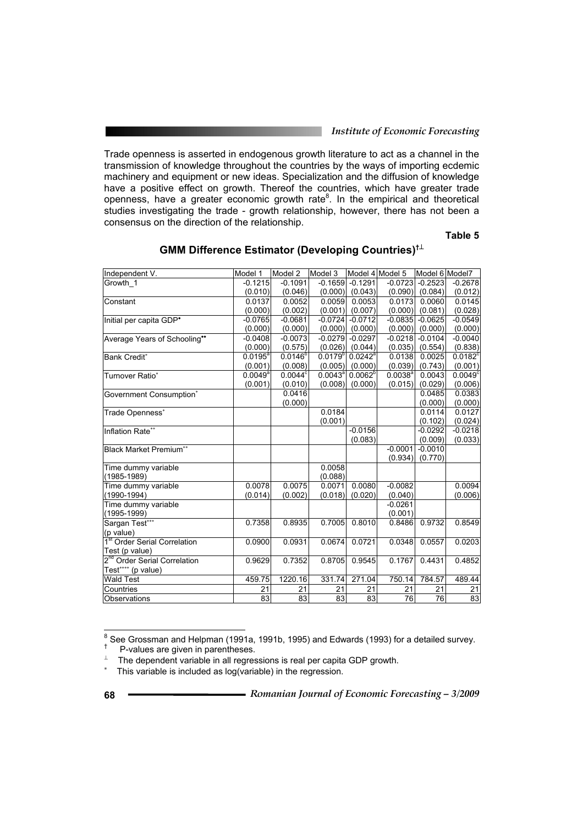Trade openness is asserted in endogenous growth literature to act as a channel in the transmission of knowledge throughout the countries by the ways of importing ecdemic machinery and equipment or new ideas. Specialization and the diffusion of knowledge have a positive effect on growth. Thereof the countries, which have greater trade openness, have a greater economic growth rate<sup>8</sup>. In the empirical and theoretical studies investigating the trade - growth relationship, however, there has not been a consensus on the direction of the relationship.

**Table 5** 

| Independent V.                           | Model 1          | Model 2          | Model 3      |                                      | Model 4 Model 5 | Model 6 Model7 |                  |
|------------------------------------------|------------------|------------------|--------------|--------------------------------------|-----------------|----------------|------------------|
| Growth 1                                 | $-0.1215$        | $-0.1091$        | $-0.1659$    | $-0.1291$                            | $-0.0723$       | $-0.2523$      | $-0.2678$        |
|                                          | (0.010)          | (0.046)          |              | $(0.000)$ $(0.043)$                  | (0.090)         | (0.084)        | (0.012)          |
| Constant                                 | 0.0137           | 0.0052           | 0.0059       | 0.0053                               | 0.0173          | 0.0060         | 0.0145           |
|                                          | (0.000)          | (0.002)          |              | $(0.001)$ $(0.007)$                  | (0.000)         | (0.081)        | (0.028)          |
| Initial per capita GDP*                  | $-0.0765$        | $-0.0681$        |              | $-0.0724$ $-0.0712$                  | $-0.0835$       | $-0.0625$      | $-0.0549$        |
|                                          | (0.000)          | (0.000)          | (0.000)      | (0.000)                              | (0.000)         | (0.000)        | (0.000)          |
| Average Years of Schooling**             | $-0.0408$        | $-0.0073$        | $-0.0279$    | $-0.0297$                            | $-0.0218$       | $-0.0104$      | $-0.0040$        |
|                                          | (0.000)          | (0.575)          | (0.026)      | (0.044)                              | (0.035)         | (0.554)        | (0.838)          |
| <b>Bank Credit®</b>                      | $0.0195^{\circ}$ | $0.0146^{b}$     | $0.0179^{b}$ | $0.0242^{\circ}$                     | 0.0138          | 0.0025         | $0.0182^{\circ}$ |
|                                          | (0.001)          | (0.008)          |              | $(0.005)$ $(0.000)$                  | (0.039)         | (0.743)        | (0.001)          |
| Turnover Ratio*                          | $0.0049^{\circ}$ | $0.0044^{\circ}$ |              | $0.0043^{\circ}$ 0.0062 <sup>b</sup> | $0.0038^{a}$    | 0.0043         | $0.0049^{\circ}$ |
|                                          | (0.001)          | (0.010)          |              | $(0.008)$ $(0.000)$                  | (0.015)         | (0.029)        | (0.006)          |
| Government Consumption*                  |                  | 0.0416           |              |                                      |                 | 0.0485         | 0.0383           |
|                                          |                  | (0.000)          |              |                                      |                 | (0.000)        | (0.000)          |
| Trade Openness <sup>*</sup>              |                  |                  | 0.0184       |                                      |                 | 0.0114         | 0.0127           |
|                                          |                  |                  | (0.001)      |                                      |                 | (0.102)        | (0.024)          |
| Inflation Rate**                         |                  |                  |              | $-0.0156$                            |                 | $-0.0292$      | $-0.0218$        |
|                                          |                  |                  |              | (0.083)                              |                 | (0.009)        | (0.033)          |
| <b>Black Market Premium**</b>            |                  |                  |              |                                      | $-0.0001$       | $-0.0010$      |                  |
|                                          |                  |                  |              |                                      | (0.934)         | (0.770)        |                  |
| Time dummy variable                      |                  |                  | 0.0058       |                                      |                 |                |                  |
| (1985-1989)                              |                  |                  | (0.088)      |                                      |                 |                |                  |
| Time dummy variable                      | 0.0078           | 0.0075           | 0.0071       | 0.0080                               | $-0.0082$       |                | 0.0094           |
| (1990-1994)                              | (0.014)          | (0.002)          | (0.018)      | (0.020)                              | (0.040)         |                | (0.006)          |
| Time dummy variable                      |                  |                  |              |                                      | $-0.0261$       |                |                  |
| (1995-1999)                              |                  |                  |              |                                      | (0.001)         |                |                  |
| Sargan Test***                           | 0.7358           | 0.8935           | 0.7005       | 0.8010                               | 0.8486          | 0.9732         | 0.8549           |
| (p value)                                |                  |                  |              |                                      |                 |                |                  |
| 1 <sup>st</sup> Order Serial Correlation | 0.0900           | 0.0931           | 0.0674       | 0.0721                               | 0.0348          | 0.0557         | 0.0203           |
| Test (p value)                           |                  |                  |              |                                      |                 |                |                  |
| 2 <sup>nd</sup> Order Serial Correlation | 0.9629           | 0.7352           | 0.8705       | 0.9545                               | 0.1767          | 0.4431         | 0.4852           |
| Test**** (p value)                       |                  |                  |              |                                      |                 |                |                  |
| <b>Wald Test</b>                         | 459.75           | 1220.16          | 331.74       | 271.04                               | 750.14          | 784.57         | 489.44           |
| Countries                                | 21               | 21               | 21           | 21                                   | 21              | 21             | 21               |
| Observations                             | 83               | 83               | 83           | 83                                   | 76              | 76             | 83               |

### **GMM Difference Estimator (Developing Countries)†**<sup>⊥</sup>

<sup>&</sup>lt;sup>8</sup> See Grossman and Helpman (1991a, 1991b, 1995) and Edwards (1993) for a detailed survey.

 $\uparrow$  P-values are given in parentheses.

The dependent variable in all regressions is real per capita GDP growth.

<sup>∗</sup> This variable is included as log(variable) in the regression.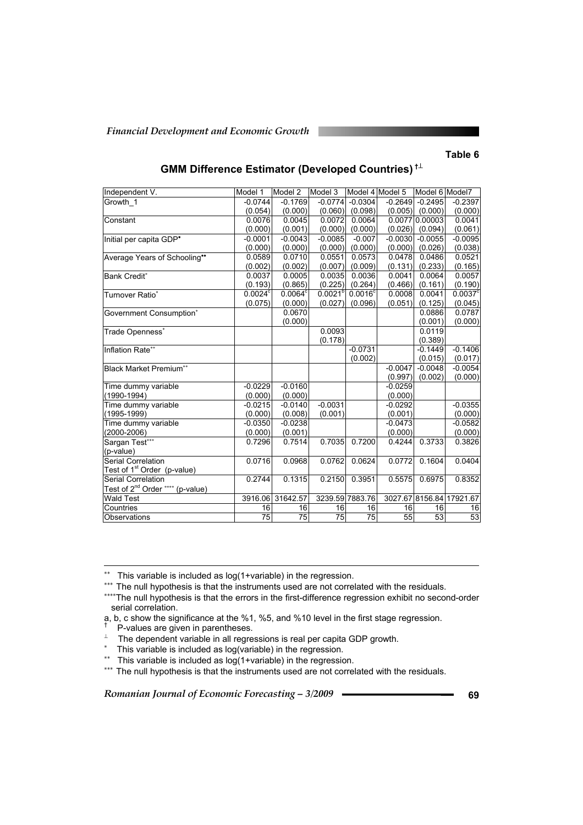#### **Table 6**

| Independent V.                               | Model 1          | Model 2          | Model 3         | Model 4 Model 5  |           | Model 6 Model7      |                          |
|----------------------------------------------|------------------|------------------|-----------------|------------------|-----------|---------------------|--------------------------|
| Growth 1                                     | $-0.0744$        | $-0.1769$        | $-0.0774$       | $-0.0304$        | $-0.2649$ | $-0.2495$           | $-0.2397$                |
|                                              | (0.054)          | (0.000)          | (0.060)         | (0.098)          |           | $(0.005)$ $(0.000)$ | (0.000)                  |
| Constant                                     | 0.0076           | 0.0045           | 0.0072          | 0.0064           |           | 0.0077 0.00003      | 0.0041                   |
|                                              | (0.000)          | (0.001)          | (0.000)         | (0.000)          | (0.026)   | (0.094)             | (0.061)                  |
| Initial per capita GDP*                      | $-0.0001$        | $-0.0043$        | $-0.0085$       | $-0.007$         | $-0.0030$ | $-0.0055$           | $-0.0095$                |
|                                              | (0.000)          | (0.000)          | (0.000)         | (0.000)          | (0.000)   | (0.026)             | (0.038)                  |
| Average Years of Schooling**                 | 0.0589           | 0.0710           | 0.0551          | 0.0573           | 0.0478    | 0.0486              | 0.0521                   |
|                                              | (0.002)          | (0.002)          | (0.007)         | (0.009)          | (0.131)   | (0.233)             | (0.165)                  |
| <b>Bank Credit*</b>                          | 0.0037           | 0.0005           | 0.0035          | 0.0036           | 0.0041    | 0.0064              | 0.0057                   |
|                                              | (0.193)          | (0.865)          | (0.225)         | (0.264)          | (0.466)   | (0.161)             | (0.190)                  |
| Turnover Ratio*                              | $0.0024^{\circ}$ | $0.0064^{\circ}$ | $0.0021^{b}$    | $0.0016^{\circ}$ | 0.0008    | 0.0041              | $0.0037^{\circ}$         |
|                                              | (0.075)          | (0.000)          | (0.027)         | (0.096)          | (0.051)   | (0.125)             | (0.045)                  |
| Government Consumption*                      |                  | 0.0670           |                 |                  |           | 0.0886              | 0.0787                   |
|                                              |                  | (0.000)          |                 |                  |           | (0.001)             | (0.000)                  |
| Trade Openness <sup>*</sup>                  |                  |                  | 0.0093          |                  |           | 0.0119              |                          |
|                                              |                  |                  | (0.178)         |                  |           | (0.389)             |                          |
| Inflation Rate**                             |                  |                  |                 | $-0.0731$        |           | $-0.1449$           | $-0.1406$                |
|                                              |                  |                  |                 | (0.002)          |           | (0.015)             | (0.017)                  |
| <b>Black Market Premium**</b>                |                  |                  |                 |                  | $-0.0047$ | $-0.0048$           | $-0.0054$                |
|                                              |                  |                  |                 |                  | (0.997)   | (0.002)             | (0.000)                  |
| Time dummy variable                          | $-0.0229$        | $-0.0160$        |                 |                  | $-0.0259$ |                     |                          |
| $(1990-1994)$                                | (0.000)          | (0.000)          |                 |                  | (0.000)   |                     |                          |
| Time dummy variable                          | $-0.0215$        | $-0.0140$        | $-0.0031$       |                  | $-0.0292$ |                     | $-0.0355$                |
| $(1995 - 1999)$                              | (0.000)          | (0.008)          | (0.001)         |                  | (0.001)   |                     | (0.000)                  |
| Time dummy variable                          | $-0.0350$        | $-0.0238$        |                 |                  | $-0.0473$ |                     | $-0.0582$                |
| $(2000 - 2006)$                              | (0.000)          | (0.001)          |                 |                  | (0.000)   |                     | (0.000)                  |
| Sargan Test***                               | 0.7296           | 0.7514           | 0.7035          | 0.7200           | 0.4244    | 0.3733              | 0.3826                   |
| (p-value)                                    |                  |                  |                 |                  |           |                     |                          |
| <b>Serial Correlation</b>                    | 0.0716           | 0.0968           | 0.0762          | 0.0624           | 0.0772    | 0.1604              | 0.0404                   |
| Test of 1 <sup>st</sup> Order (p-value)      |                  |                  |                 |                  |           |                     |                          |
| Serial Correlation                           | 0.2744           | 0.1315           | 0.2150          | 0.3951           | 0.5575    | 0.6975              | 0.8352                   |
| Test of 2 <sup>nd</sup> Order **** (p-value) |                  |                  |                 |                  |           |                     |                          |
| <b>Wald Test</b>                             |                  | 3916.06 31642.57 |                 | 3239.59 7883.76  |           |                     | 3027.67 8156.84 17921.67 |
| Countries                                    | 16               | 16               | 16              | 16               | 16        | 16                  | 16                       |
| Observations                                 | $\overline{75}$  | 75               | $\overline{75}$ | $\overline{75}$  | 55        | 53                  | 53                       |

### **GMM Difference Estimator (Developed Countries) †**<sup>⊥</sup>

∗∗ This variable is included as log(1+variable) in the regression.

∗∗∗ The null hypothesis is that the instruments used are not correlated with the residuals.

∗∗∗∗The null hypothesis is that the errors in the first-difference regression exhibit no second-order serial correlation.

a, b, c show the significance at the %1, %5, and %10 level in the first stage regression. †

P-values are given in parentheses.

-

 $\perp$  The dependent variable in all regressions is real per capita GDP growth.

- ∗ This variable is included as log(variable) in the regression.
- ∗∗ This variable is included as log(1+variable) in the regression.

∗∗∗ The null hypothesis is that the instruments used are not correlated with the residuals.

*Romanian Journal of Economic Forecasting – 3/2009* **– <del>• • • • • • • • • • • • • • 69 69**</del>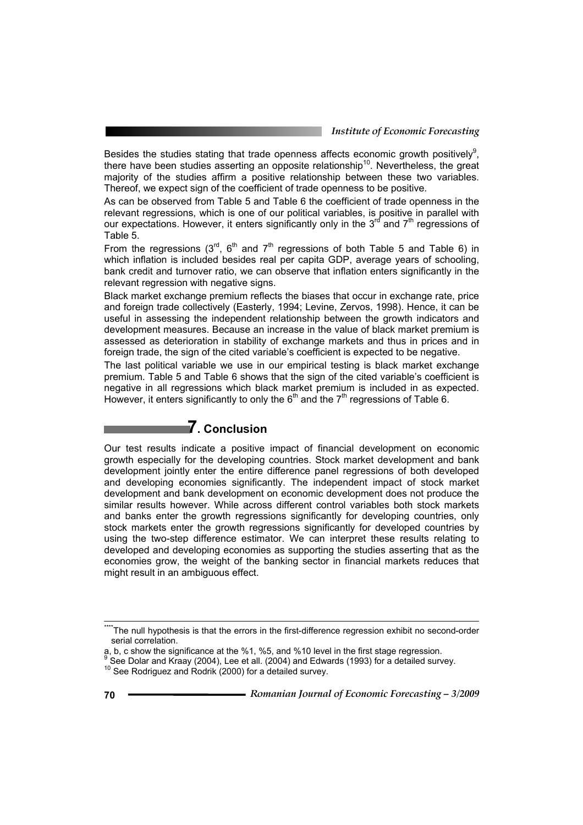Besides the studies stating that trade openness affects economic growth positively $9$ , there have been studies asserting an opposite relationship<sup>10</sup>. Nevertheless, the great majority of the studies affirm a positive relationship between these two variables. Thereof, we expect sign of the coefficient of trade openness to be positive.

As can be observed from Table 5 and Table 6 the coefficient of trade openness in the relevant regressions, which is one of our political variables, is positive in parallel with our expectations. However, it enters significantly only in the 3<sup>rd</sup> and 7<sup>th</sup> regressions of Table 5.

From the regressions (3<sup>rd</sup>, 6<sup>th</sup> and 7<sup>th</sup> regressions of both Table 5 and Table 6) in which inflation is included besides real per capita GDP, average years of schooling, bank credit and turnover ratio, we can observe that inflation enters significantly in the relevant regression with negative signs.

Black market exchange premium reflects the biases that occur in exchange rate, price and foreign trade collectively (Easterly, 1994; Levine, Zervos, 1998). Hence, it can be useful in assessing the independent relationship between the growth indicators and development measures. Because an increase in the value of black market premium is assessed as deterioration in stability of exchange markets and thus in prices and in foreign trade, the sign of the cited variable's coefficient is expected to be negative.

The last political variable we use in our empirical testing is black market exchange premium. Table 5 and Table 6 shows that the sign of the cited variable's coefficient is negative in all regressions which black market premium is included in as expected. However, it enters significantly to only the  $6<sup>th</sup>$  and the  $7<sup>th</sup>$  regressions of Table 6.

# **7. Conclusion**

Our test results indicate a positive impact of financial development on economic growth especially for the developing countries. Stock market development and bank development jointly enter the entire difference panel regressions of both developed and developing economies significantly. The independent impact of stock market development and bank development on economic development does not produce the similar results however. While across different control variables both stock markets and banks enter the growth regressions significantly for developing countries, only stock markets enter the growth regressions significantly for developed countries by using the two-step difference estimator. We can interpret these results relating to developed and developing economies as supporting the studies asserting that as the economies grow, the weight of the banking sector in financial markets reduces that might result in an ambiguous effect.

<sup>\*\*\*\*</sup>The null hypothesis is that the errors in the first-difference regression exhibit no second-order serial correlation.

a, b, c show the significance at the %1, %5, and %10 level in the first stage regression.<br><sup>9</sup> See Dolar and Kraay (2004), Lee et all. (2004) and Edwards (1993) for a detailed survey.

<sup>10</sup> See Rodriguez and Rodrik (2000) for a detailed survey.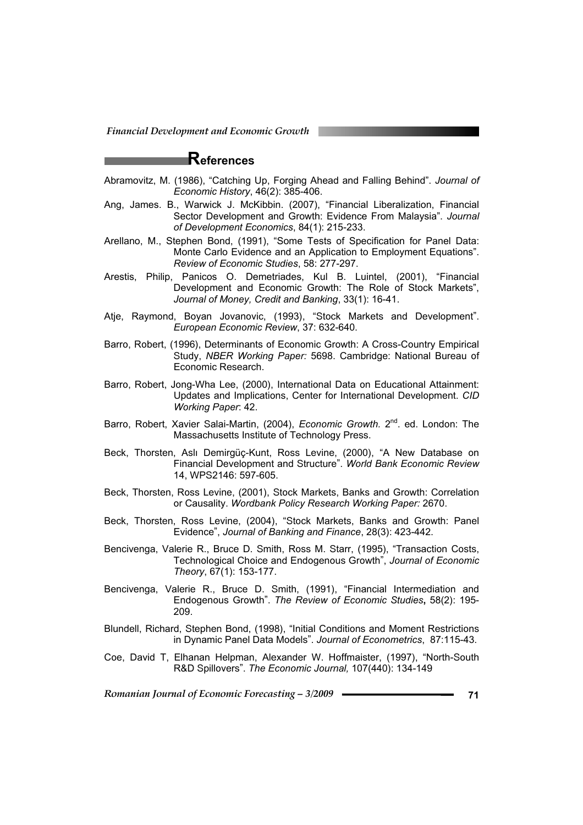# **References**

- Abramovitz, M. (1986), "Catching Up, Forging Ahead and Falling Behind". *Journal of Economic History*, 46(2): 385-406.
- Ang, James. B., Warwick J. McKibbin. (2007), "Financial Liberalization, Financial Sector Development and Growth: Evidence From Malaysia". *Journal of Development Economics*, 84(1): 215-233.
- Arellano, M., Stephen Bond, (1991), "Some Tests of Specification for Panel Data: Monte Carlo Evidence and an Application to Employment Equations". *Review of Economic Studies*, 58: 277-297.
- Arestis, Philip, Panicos O. Demetriades, Kul B. Luintel, (2001), "Financial Development and Economic Growth: The Role of Stock Markets", *Journal of Money, Credit and Banking*, 33(1): 16-41.
- Atje, Raymond, Boyan Jovanovic, (1993), "Stock Markets and Development". *European Economic Review*, 37: 632-640.
- Barro, Robert, (1996), Determinants of Economic Growth: A Cross-Country Empirical Study, *NBER Working Paper:* 5698. Cambridge: National Bureau of Economic Research.
- Barro, Robert, Jong-Wha Lee, (2000), International Data on Educational Attainment: Updates and Implications, Center for International Development. *CID Working Paper*: 42.
- Barro, Robert, Xavier Salai-Martin, (2004), *Economic Growth.* 2<sup>nd</sup>. ed. London: The Massachusetts Institute of Technology Press.
- Beck, Thorsten, Aslı Demirgüç-Kunt, Ross Levine, (2000), "A New Database on Financial Development and Structure". *World Bank Economic Review*  14, WPS2146: 597-605.
- Beck, Thorsten, Ross Levine, (2001), Stock Markets, Banks and Growth: Correlation or Causality. *Wordbank Policy Research Working Paper:* 2670.
- Beck, Thorsten, Ross Levine, (2004), "Stock Markets, Banks and Growth: Panel Evidence", *Journal of Banking and Finance*, 28(3): 423-442.
- Bencivenga, Valerie R., Bruce D. Smith, Ross M. Starr, (1995), "Transaction Costs, Technological Choice and Endogenous Growth", *Journal of Economic Theory*, 67(1): 153-177.
- Bencivenga, Valerie R., Bruce D. Smith, (1991), "Financial Intermediation and Endogenous Growth". *The Review of Economic Studies***,** 58(2): 195- 209.
- Blundell, Richard, Stephen Bond, (1998), "Initial Conditions and Moment Restrictions in Dynamic Panel Data Models". *Journal of Econometrics*, 87:115-43.
- Coe, David T, Elhanan Helpman, Alexander W. Hoffmaister, (1997), "North-South R&D Spillovers". *The Economic Journal,* 107(440): 134-149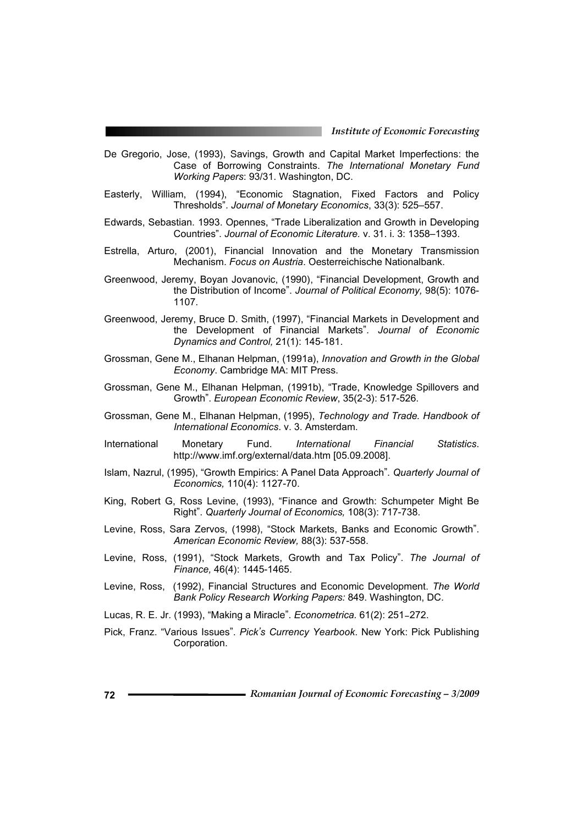- De Gregorio, Jose, (1993), Savings, Growth and Capital Market Imperfections: the Case of Borrowing Constraints. *The International Monetary Fund Working Papers*: 93/31. Washington, DC.
- Easterly, William, (1994), "Economic Stagnation, Fixed Factors and Policy Thresholds". *Journal of Monetary Economics*, 33(3): 525–557.
- Edwards, Sebastian. 1993. Opennes, "Trade Liberalization and Growth in Developing Countries". *Journal of Economic Literature.* v. 31. i. 3: 1358–1393.
- Estrella, Arturo, (2001), Financial Innovation and the Monetary Transmission Mechanism. *Focus on Austria*. Oesterreichische Nationalbank.
- Greenwood, Jeremy, Boyan Jovanovic, (1990), "Financial Development, Growth and the Distribution of Income". *Journal of Political Economy,* 98(5): 1076- 1107.
- Greenwood, Jeremy, Bruce D. Smith, (1997), "Financial Markets in Development and the Development of Financial Markets". *Journal of Economic Dynamics and Control,* 21(1): 145-181.
- Grossman, Gene M., Elhanan Helpman, (1991a), *Innovation and Growth in the Global Economy*. Cambridge MA: MIT Press.
- Grossman, Gene M., Elhanan Helpman, (1991b), "Trade, Knowledge Spillovers and Growth". *European Economic Review*, 35(2-3): 517-526.
- Grossman, Gene M., Elhanan Helpman, (1995), *Technology and Trade. Handbook of International Economics*. v. 3. Amsterdam.
- International Monetary Fund. *International Financial Statistics*. http://www.imf.org/external/data.htm [05.09.2008].
- Islam, Nazrul, (1995), "Growth Empirics: A Panel Data Approach". *Quarterly Journal of Economics,* 110(4): 1127-70.
- King, Robert G, Ross Levine, (1993), "Finance and Growth: Schumpeter Might Be Right". *Quarterly Journal of Economics,* 108(3): 717-738.
- Levine, Ross, Sara Zervos, (1998), "Stock Markets, Banks and Economic Growth". *American Economic Review,* 88(3): 537-558.
- Levine, Ross, (1991), "Stock Markets, Growth and Tax Policy". *The Journal of Finance,* 46(4): 1445-1465.
- Levine, Ross, (1992), Financial Structures and Economic Development. *The World Bank Policy Research Working Papers:* 849. Washington, DC.
- Lucas, R. E. Jr. (1993), "Making a Miracle". *Econometrica.* 61(2): 251–272.
- Pick, Franz. "Various Issues". *Pick's Currency Yearbook*. New York: Pick Publishing Corporation.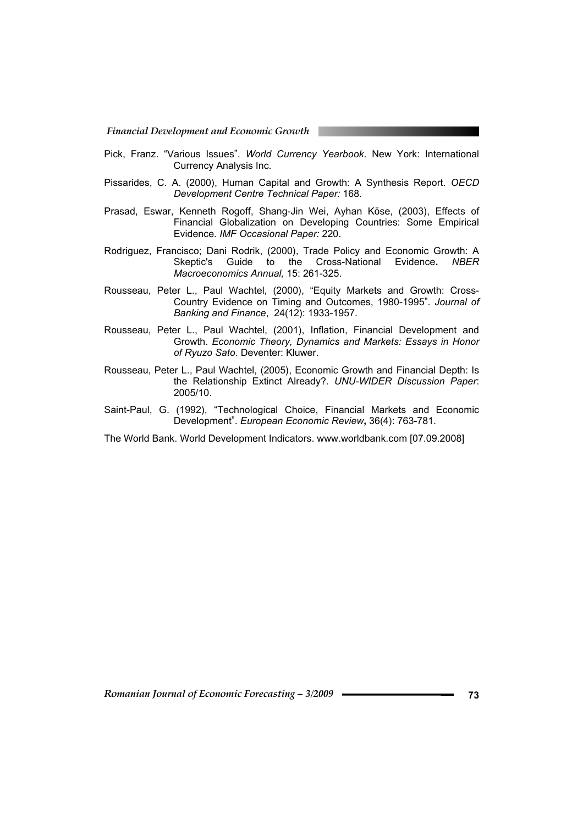- Pick, Franz. "Various Issues". *World Currency Yearbook*. New York: International Currency Analysis Inc.
- Pissarides, C. A. (2000), Human Capital and Growth: A Synthesis Report. *OECD Development Centre Technical Paper:* 168.
- Prasad, Eswar, Kenneth Rogoff, Shang-Jin Wei, Ayhan Köse, (2003), Effects of Financial Globalization on Developing Countries: Some Empirical Evidence*. IMF Occasional Paper:* 220.
- Rodriguez, Francisco; Dani Rodrik, (2000), Trade Policy and Economic Growth: A Skeptic's Guide to the Cross-National Evidence**.** *NBER Macroeconomics Annual,* 15: 261-325.
- Rousseau, Peter L., Paul Wachtel, (2000), "Equity Markets and Growth: Cross-Country Evidence on Timing and Outcomes, 1980-1995". *Journal of Banking and Finance*, 24(12): 1933-1957.
- Rousseau, Peter L., Paul Wachtel, (2001), Inflation, Financial Development and Growth. *Economic Theory, Dynamics and Markets: Essays in Honor of Ryuzo Sato*. Deventer: Kluwer.
- Rousseau, Peter L., Paul Wachtel, (2005), Economic Growth and Financial Depth: Is the Relationship Extinct Already?. *UNU-WIDER Discussion Paper*: 2005/10.
- Saint-Paul, G. (1992), "Technological Choice, Financial Markets and Economic Development". *European Economic Review***,** 36(4): 763-781.

The World Bank. World Development Indicators. www.worldbank.com [07.09.2008]